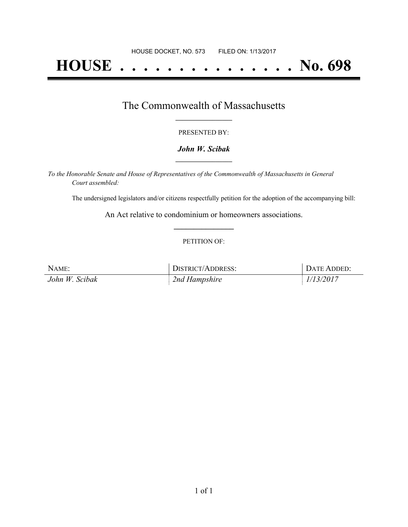# **HOUSE . . . . . . . . . . . . . . . No. 698**

### The Commonwealth of Massachusetts **\_\_\_\_\_\_\_\_\_\_\_\_\_\_\_\_\_**

#### PRESENTED BY:

#### *John W. Scibak* **\_\_\_\_\_\_\_\_\_\_\_\_\_\_\_\_\_**

*To the Honorable Senate and House of Representatives of the Commonwealth of Massachusetts in General Court assembled:*

The undersigned legislators and/or citizens respectfully petition for the adoption of the accompanying bill:

An Act relative to condominium or homeowners associations. **\_\_\_\_\_\_\_\_\_\_\_\_\_\_\_**

#### PETITION OF:

| NAME:          | DISTRICT/ADDRESS: | DATE ADDED: |
|----------------|-------------------|-------------|
| John W. Scibak | 2nd Hampshire     | 1/13/2017   |